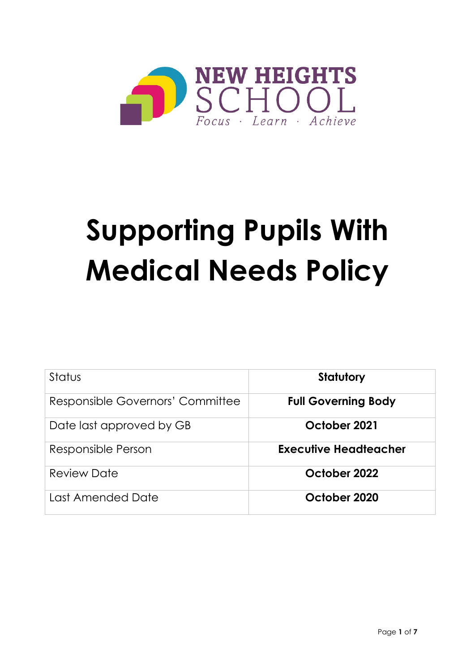

# **Supporting Pupils With Medical Needs Policy**

| Status                           | Statutory                  |
|----------------------------------|----------------------------|
| Responsible Governors' Committee | <b>Full Governing Body</b> |
| Date last approved by GB         | October 2021               |
| Responsible Person               | Executive Headteacher      |
| <b>Review Date</b>               | October 2022               |
| Last Amended Date                | October 2020               |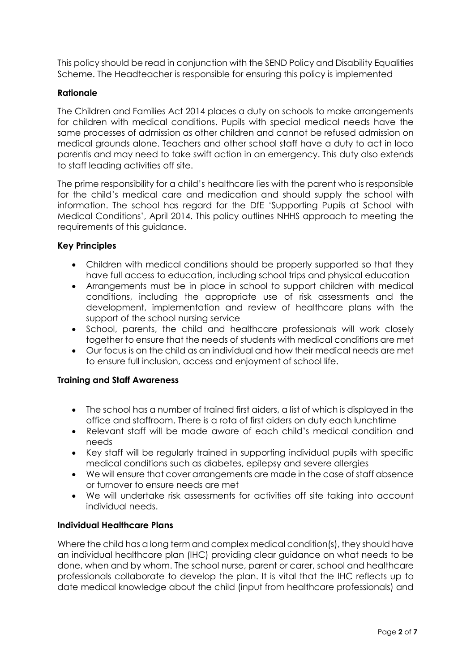This policy should be read in conjunction with the SEND Policy and Disability Equalities Scheme. The Headteacher is responsible for ensuring this policy is implemented

# **Rationale**

The Children and Families Act 2014 places a duty on schools to make arrangements for children with medical conditions. Pupils with special medical needs have the same processes of admission as other children and cannot be refused admission on medical grounds alone. Teachers and other school staff have a duty to act in loco parentis and may need to take swift action in an emergency. This duty also extends to staff leading activities off site.

The prime responsibility for a child's healthcare lies with the parent who is responsible for the child's medical care and medication and should supply the school with information. The school has regard for the DfE 'Supporting Pupils at School with Medical Conditions', April 2014. This policy outlines NHHS approach to meeting the requirements of this guidance.

# **Key Principles**

- Children with medical conditions should be properly supported so that they have full access to education, including school trips and physical education
- Arrangements must be in place in school to support children with medical conditions, including the appropriate use of risk assessments and the development, implementation and review of healthcare plans with the support of the school nursing service
- School, parents, the child and healthcare professionals will work closely together to ensure that the needs of students with medical conditions are met
- Our focus is on the child as an individual and how their medical needs are met to ensure full inclusion, access and enjoyment of school life.

## **Training and Staff Awareness**

- The school has a number of trained first aiders, a list of which is displayed in the office and staffroom. There is a rota of first aiders on duty each lunchtime
- Relevant staff will be made aware of each child's medical condition and needs
- Key staff will be regularly trained in supporting individual pupils with specific medical conditions such as diabetes, epilepsy and severe allergies
- We will ensure that cover arrangements are made in the case of staff absence or turnover to ensure needs are met
- We will undertake risk assessments for activities off site taking into account individual needs.

## **Individual Healthcare Plans**

Where the child has a long term and complex medical condition(s), they should have an individual healthcare plan (IHC) providing clear guidance on what needs to be done, when and by whom. The school nurse, parent or carer, school and healthcare professionals collaborate to develop the plan. It is vital that the IHC reflects up to date medical knowledge about the child (input from healthcare professionals) and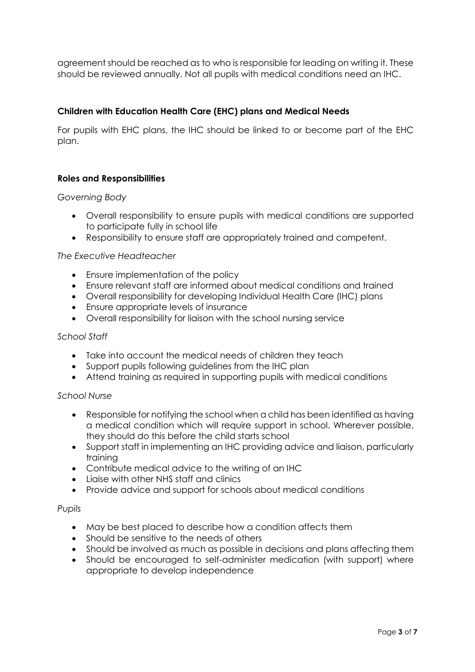agreement should be reached as to who is responsible for leading on writing it. These should be reviewed annually. Not all pupils with medical conditions need an IHC.

# **Children with Education Health Care (EHC) plans and Medical Needs**

For pupils with EHC plans, the IHC should be linked to or become part of the EHC plan.

## **Roles and Responsibilities**

## *Governing Body*

- Overall responsibility to ensure pupils with medical conditions are supported to participate fully in school life
- Responsibility to ensure staff are appropriately trained and competent.

#### *The Executive Headteacher*

- Ensure implementation of the policy
- Ensure relevant staff are informed about medical conditions and trained
- Overall responsibility for developing Individual Health Care (IHC) plans
- Ensure appropriate levels of insurance
- Overall responsibility for liaison with the school nursing service

#### *School Staff*

- Take into account the medical needs of children they teach
- Support pupils following guidelines from the IHC plan
- Attend training as required in supporting pupils with medical conditions

#### *School Nurse*

- Responsible for notifying the school when a child has been identified as having a medical condition which will require support in school. Wherever possible, they should do this before the child starts school
- Support staff in implementing an IHC providing advice and liaison, particularly training
- Contribute medical advice to the writing of an IHC
- Liaise with other NHS staff and clinics
- Provide advice and support for schools about medical conditions

#### *Pupils*

- May be best placed to describe how a condition affects them
- Should be sensitive to the needs of others
- Should be involved as much as possible in decisions and plans affecting them
- Should be encouraged to self-administer medication (with support) where appropriate to develop independence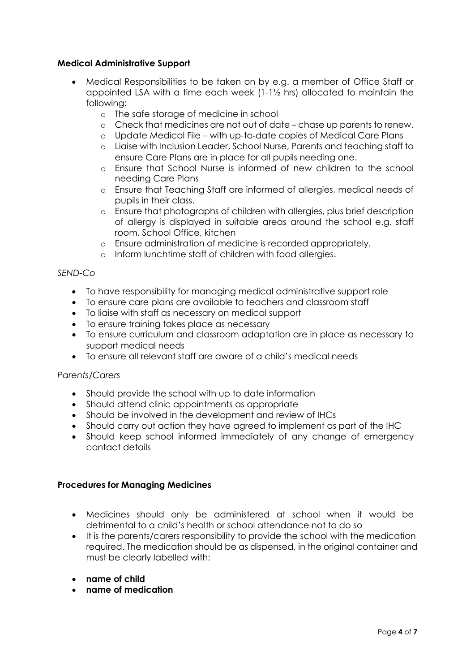# **Medical Administrative Support**

- Medical Responsibilities to be taken on by e.g. a member of Office Staff or appointed LSA with a time each week (1-1½ hrs) allocated to maintain the following:
	- o The safe storage of medicine in school
	- o Check that medicines are not out of date chase up parents to renew.
	- o Update Medical File with up-to‐date copies of Medical Care Plans
	- o Liaise with Inclusion Leader, School Nurse, Parents and teaching staff to ensure Care Plans are in place for all pupils needing one.
	- o Ensure that School Nurse is informed of new children to the school needing Care Plans
	- o Ensure that Teaching Staff are informed of allergies, medical needs of pupils in their class.
	- o Ensure that photographs of children with allergies, plus brief description of allergy is displayed in suitable areas around the school e.g. staff room, School Office, kitchen
	- o Ensure administration of medicine is recorded appropriately.
	- o Inform lunchtime staff of children with food allergies.

## *SEND-Co*

- To have responsibility for managing medical administrative support role
- To ensure care plans are available to teachers and classroom staff
- To liaise with staff as necessary on medical support
- To ensure training takes place as necessary
- To ensure curriculum and classroom adaptation are in place as necessary to support medical needs
- To ensure all relevant staff are aware of a child's medical needs

## *Parents/Carers*

- Should provide the school with up to date information
- Should attend clinic appointments as appropriate
- Should be involved in the development and review of IHCs
- Should carry out action they have agreed to implement as part of the IHC
- Should keep school informed immediately of any change of emergency contact details

## **Procedures for Managing Medicines**

- Medicines should only be administered at school when it would be detrimental to a child's health or school attendance not to do so
- It is the parents/carers responsibility to provide the school with the medication required. The medication should be as dispensed, in the original container and must be clearly labelled with:
- **name of child**
- **name of medication**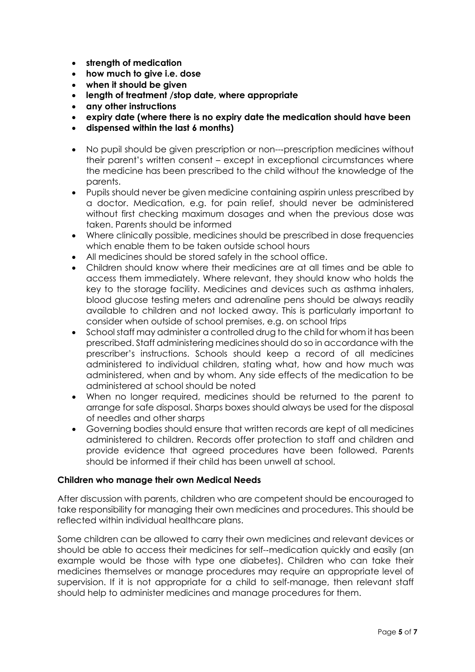- **strength of medication**
- **how much to give i.e. dose**
- **when it should be given**
- **length of treatment /stop date, where appropriate**
- **any other instructions**
- **expiry date (where there is no expiry date the medication should have been**
- **dispensed within the last 6 months)**
- No pupil should be given prescription or non---prescription medicines without their parent's written consent – except in exceptional circumstances where the medicine has been prescribed to the child without the knowledge of the parents.
- Pupils should never be given medicine containing aspirin unless prescribed by a doctor. Medication, e.g. for pain relief, should never be administered without first checking maximum dosages and when the previous dose was taken. Parents should be informed
- Where clinically possible, medicines should be prescribed in dose frequencies which enable them to be taken outside school hours
- All medicines should be stored safely in the school office.
- Children should know where their medicines are at all times and be able to access them immediately. Where relevant, they should know who holds the key to the storage facility. Medicines and devices such as asthma inhalers, blood glucose testing meters and adrenaline pens should be always readily available to children and not locked away. This is particularly important to consider when outside of school premises, e.g. on school trips
- School staff may administer a controlled drug to the child for whom it has been prescribed. Staff administering medicines should do so in accordance with the prescriber's instructions. Schools should keep a record of all medicines administered to individual children, stating what, how and how much was administered, when and by whom. Any side effects of the medication to be administered at school should be noted
- When no longer required, medicines should be returned to the parent to arrange for safe disposal. Sharps boxes should always be used for the disposal of needles and other sharps
- Governing bodies should ensure that written records are kept of all medicines administered to children. Records offer protection to staff and children and provide evidence that agreed procedures have been followed. Parents should be informed if their child has been unwell at school.

## **Children who manage their own Medical Needs**

After discussion with parents, children who are competent should be encouraged to take responsibility for managing their own medicines and procedures. This should be reflected within individual healthcare plans.

Some children can be allowed to carry their own medicines and relevant devices or should be able to access their medicines for self-‐medication quickly and easily (an example would be those with type one diabetes). Children who can take their medicines themselves or manage procedures may require an appropriate level of supervision. If it is not appropriate for a child to self-manage, then relevant staff should help to administer medicines and manage procedures for them.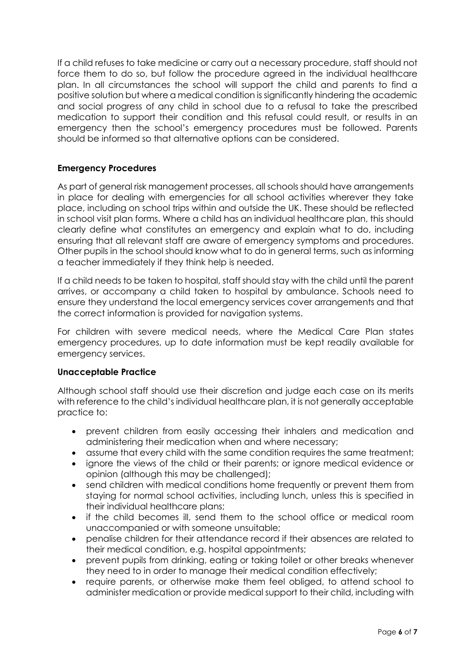If a child refuses to take medicine or carry out a necessary procedure, staff should not force them to do so, but follow the procedure agreed in the individual healthcare plan. In all circumstances the school will support the child and parents to find a positive solution but where a medical condition is significantly hindering the academic and social progress of any child in school due to a refusal to take the prescribed medication to support their condition and this refusal could result, or results in an emergency then the school's emergency procedures must be followed. Parents should be informed so that alternative options can be considered.

# **Emergency Procedures**

As part of general risk management processes, all schools should have arrangements in place for dealing with emergencies for all school activities wherever they take place, including on school trips within and outside the UK. These should be reflected in school visit plan forms. Where a child has an individual healthcare plan, this should clearly define what constitutes an emergency and explain what to do, including ensuring that all relevant staff are aware of emergency symptoms and procedures. Other pupils in the school should know what to do in general terms, such as informing a teacher immediately if they think help is needed.

If a child needs to be taken to hospital, staff should stay with the child until the parent arrives, or accompany a child taken to hospital by ambulance. Schools need to ensure they understand the local emergency services cover arrangements and that the correct information is provided for navigation systems.

For children with severe medical needs, where the Medical Care Plan states emergency procedures, up to date information must be kept readily available for emergency services.

## **Unacceptable Practice**

Although school staff should use their discretion and judge each case on its merits with reference to the child's individual healthcare plan, it is not generally acceptable practice to:

- prevent children from easily accessing their inhalers and medication and administering their medication when and where necessary;
- assume that every child with the same condition requires the same treatment;
- ignore the views of the child or their parents; or ignore medical evidence or opinion (although this may be challenged);
- send children with medical conditions home frequently or prevent them from staying for normal school activities, including lunch, unless this is specified in their individual healthcare plans;
- if the child becomes ill, send them to the school office or medical room unaccompanied or with someone unsuitable;
- penalise children for their attendance record if their absences are related to their medical condition, e.g. hospital appointments;
- prevent pupils from drinking, eating or taking toilet or other breaks whenever they need to in order to manage their medical condition effectively;
- require parents, or otherwise make them feel obliged, to attend school to administer medication or provide medical support to their child, including with